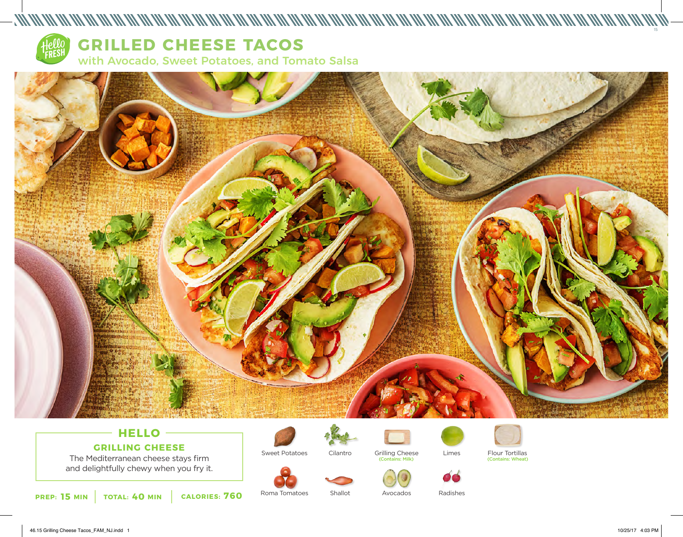

## **HELLO GRILLING CHEESE**

The Mediterranean cheese stays firm and delightfully chewy when you fry it.



Roma Tomatoes

Sweet Potatoes



Shallot



Avocados





Grilling Cheese Limes Flour Tortillas<br>
Contains: Milk) (Contains: Wheat) (Contains: Wheat)



Radishes

15